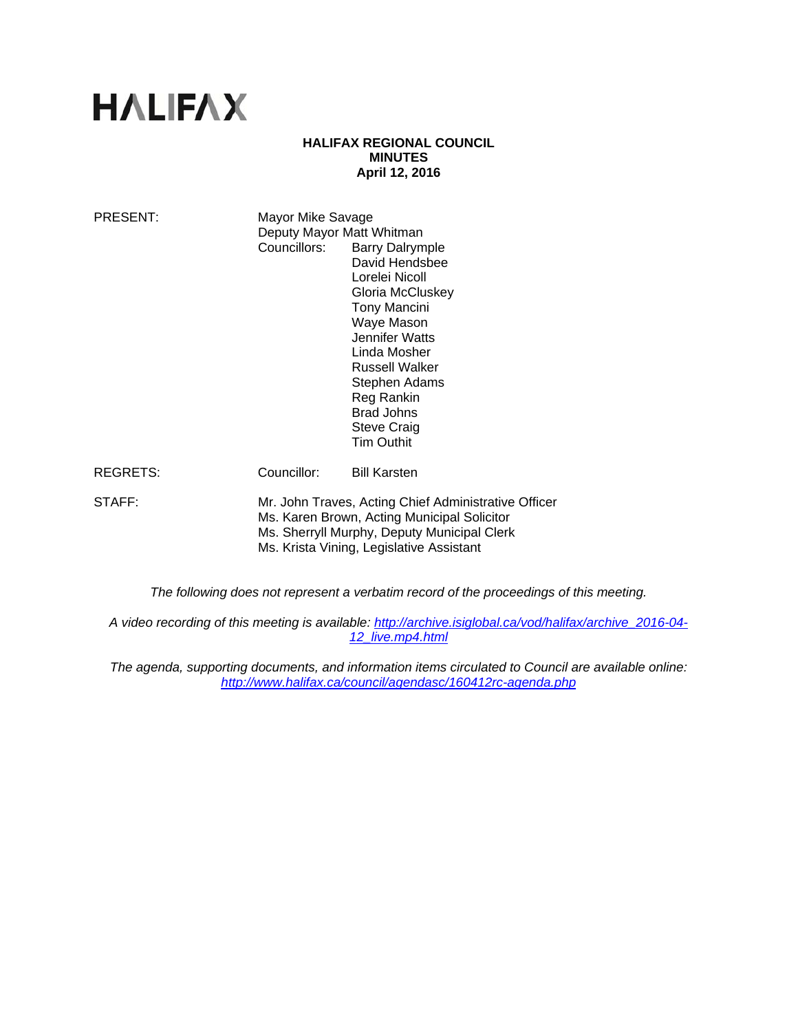# **HALIFAX**

#### **HALIFAX REGIONAL COUNCIL MINUTES April 12, 2016**

| PRESENT: | Mayor Mike Savage<br>Deputy Mayor Matt Whitman<br>Councillors:                                                                                                                                 | <b>Barry Dalrymple</b><br>David Hendsbee<br>Lorelei Nicoll<br>Gloria McCluskey<br><b>Tony Mancini</b><br>Waye Mason<br>Jennifer Watts<br>Linda Mosher<br><b>Russell Walker</b><br>Stephen Adams<br>Reg Rankin<br><b>Brad Johns</b><br><b>Steve Craig</b><br><b>Tim Outhit</b> |
|----------|------------------------------------------------------------------------------------------------------------------------------------------------------------------------------------------------|-------------------------------------------------------------------------------------------------------------------------------------------------------------------------------------------------------------------------------------------------------------------------------|
| REGRETS: | Councillor:                                                                                                                                                                                    | <b>Bill Karsten</b>                                                                                                                                                                                                                                                           |
| STAFF:   | Mr. John Traves, Acting Chief Administrative Officer<br>Ms. Karen Brown, Acting Municipal Solicitor<br>Ms. Sherryll Murphy, Deputy Municipal Clerk<br>Ms. Krista Vining, Legislative Assistant |                                                                                                                                                                                                                                                                               |

*The following does not represent a verbatim record of the proceedings of this meeting.* 

*A video recording of this meeting is available: http://archive.isiglobal.ca/vod/halifax/archive\_2016-04- 12\_live.mp4.html* 

*The agenda, supporting documents, and information items circulated to Council are available online: http://www.halifax.ca/council/agendasc/160412rc-agenda.php*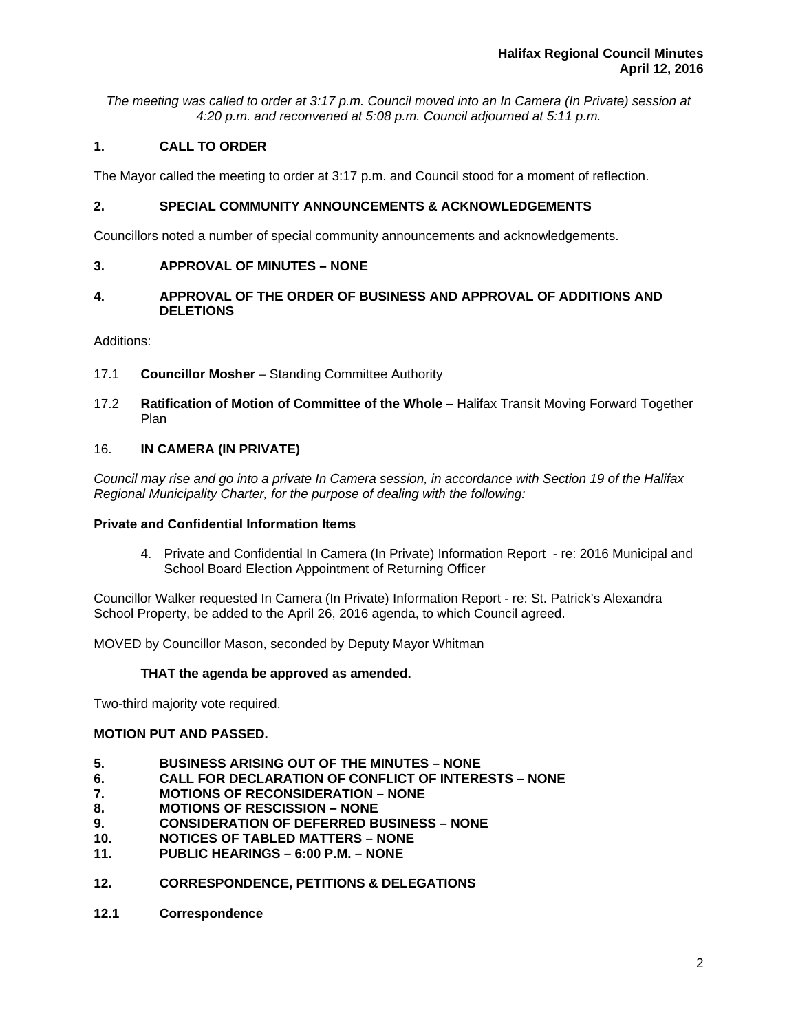*The meeting was called to order at 3:17 p.m. Council moved into an In Camera (In Private) session at 4:20 p.m. and reconvened at 5:08 p.m. Council adjourned at 5:11 p.m.*

# **1. CALL TO ORDER**

The Mayor called the meeting to order at 3:17 p.m. and Council stood for a moment of reflection.

# **2. SPECIAL COMMUNITY ANNOUNCEMENTS & ACKNOWLEDGEMENTS**

Councillors noted a number of special community announcements and acknowledgements.

# **3. APPROVAL OF MINUTES – NONE**

# **4. APPROVAL OF THE ORDER OF BUSINESS AND APPROVAL OF ADDITIONS AND DELETIONS**

Additions:

- 17.1 **Councillor Mosher** Standing Committee Authority
- 17.2 **Ratification of Motion of Committee of the Whole** Halifax Transit Moving Forward Together Plan

# 16. **IN CAMERA (IN PRIVATE)**

*Council may rise and go into a private In Camera session, in accordance with Section 19 of the Halifax Regional Municipality Charter, for the purpose of dealing with the following:* 

## **Private and Confidential Information Items**

4. Private and Confidential In Camera (In Private) Information Report - re: 2016 Municipal and School Board Election Appointment of Returning Officer

Councillor Walker requested In Camera (In Private) Information Report - re: St. Patrick's Alexandra School Property, be added to the April 26, 2016 agenda, to which Council agreed.

MOVED by Councillor Mason, seconded by Deputy Mayor Whitman

# **THAT the agenda be approved as amended.**

Two-third majority vote required.

# **MOTION PUT AND PASSED.**

- **5. BUSINESS ARISING OUT OF THE MINUTES NONE**
- **6. CALL FOR DECLARATION OF CONFLICT OF INTERESTS NONE**
- **7. MOTIONS OF RECONSIDERATION NONE**
- **8. MOTIONS OF RESCISSION NONE**
- **9. CONSIDERATION OF DEFERRED BUSINESS NONE**
- **10. NOTICES OF TABLED MATTERS NONE**
- **11. PUBLIC HEARINGS 6:00 P.M. NONE**
- **12. CORRESPONDENCE, PETITIONS & DELEGATIONS**
- **12.1 Correspondence**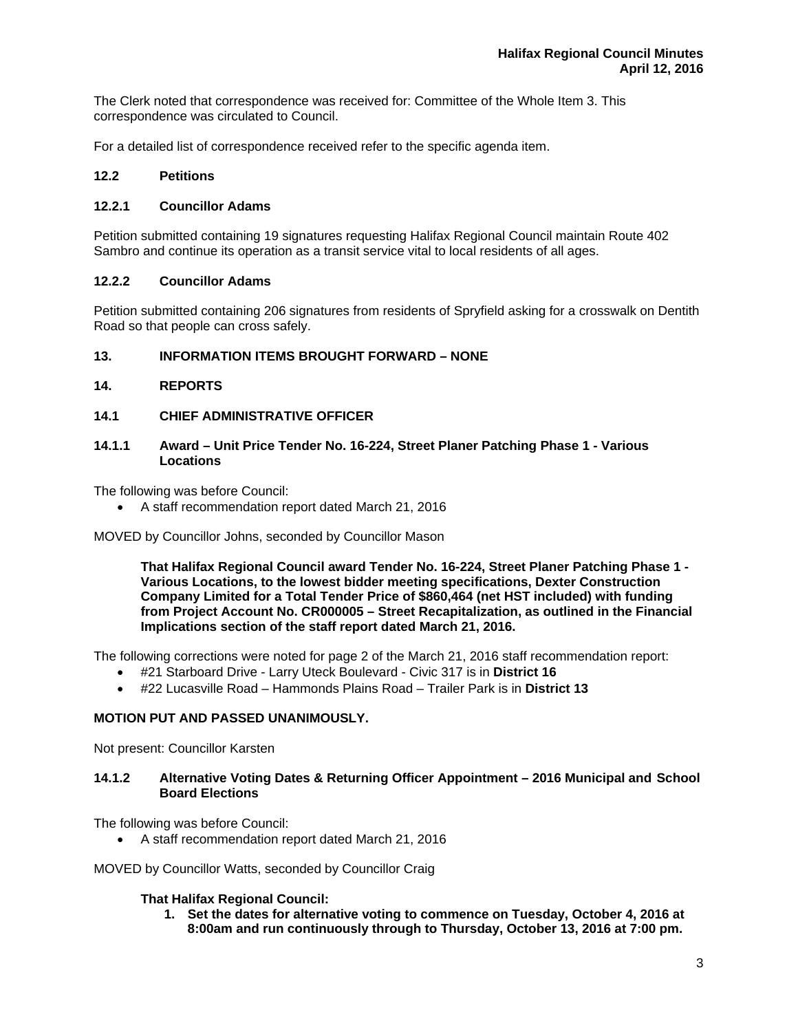The Clerk noted that correspondence was received for: Committee of the Whole Item 3. This correspondence was circulated to Council.

For a detailed list of correspondence received refer to the specific agenda item.

# **12.2 Petitions**

## **12.2.1 Councillor Adams**

Petition submitted containing 19 signatures requesting Halifax Regional Council maintain Route 402 Sambro and continue its operation as a transit service vital to local residents of all ages.

## **12.2.2 Councillor Adams**

Petition submitted containing 206 signatures from residents of Spryfield asking for a crosswalk on Dentith Road so that people can cross safely.

## **13. INFORMATION ITEMS BROUGHT FORWARD – NONE**

## **14. REPORTS**

**14.1 CHIEF ADMINISTRATIVE OFFICER** 

#### **14.1.1 Award – Unit Price Tender No. 16-224, Street Planer Patching Phase 1 - Various Locations**

The following was before Council:

A staff recommendation report dated March 21, 2016

MOVED by Councillor Johns, seconded by Councillor Mason

**That Halifax Regional Council award Tender No. 16-224, Street Planer Patching Phase 1 - Various Locations, to the lowest bidder meeting specifications, Dexter Construction Company Limited for a Total Tender Price of \$860,464 (net HST included) with funding from Project Account No. CR000005 – Street Recapitalization, as outlined in the Financial Implications section of the staff report dated March 21, 2016.** 

The following corrections were noted for page 2 of the March 21, 2016 staff recommendation report:

- #21 Starboard Drive Larry Uteck Boulevard Civic 317 is in **District 16**
- #22 Lucasville Road Hammonds Plains Road Trailer Park is in **District 13**

## **MOTION PUT AND PASSED UNANIMOUSLY.**

Not present: Councillor Karsten

#### **14.1.2 Alternative Voting Dates & Returning Officer Appointment – 2016 Municipal and School Board Elections**

The following was before Council:

A staff recommendation report dated March 21, 2016

MOVED by Councillor Watts, seconded by Councillor Craig

#### **That Halifax Regional Council:**

**1. Set the dates for alternative voting to commence on Tuesday, October 4, 2016 at 8:00am and run continuously through to Thursday, October 13, 2016 at 7:00 pm.**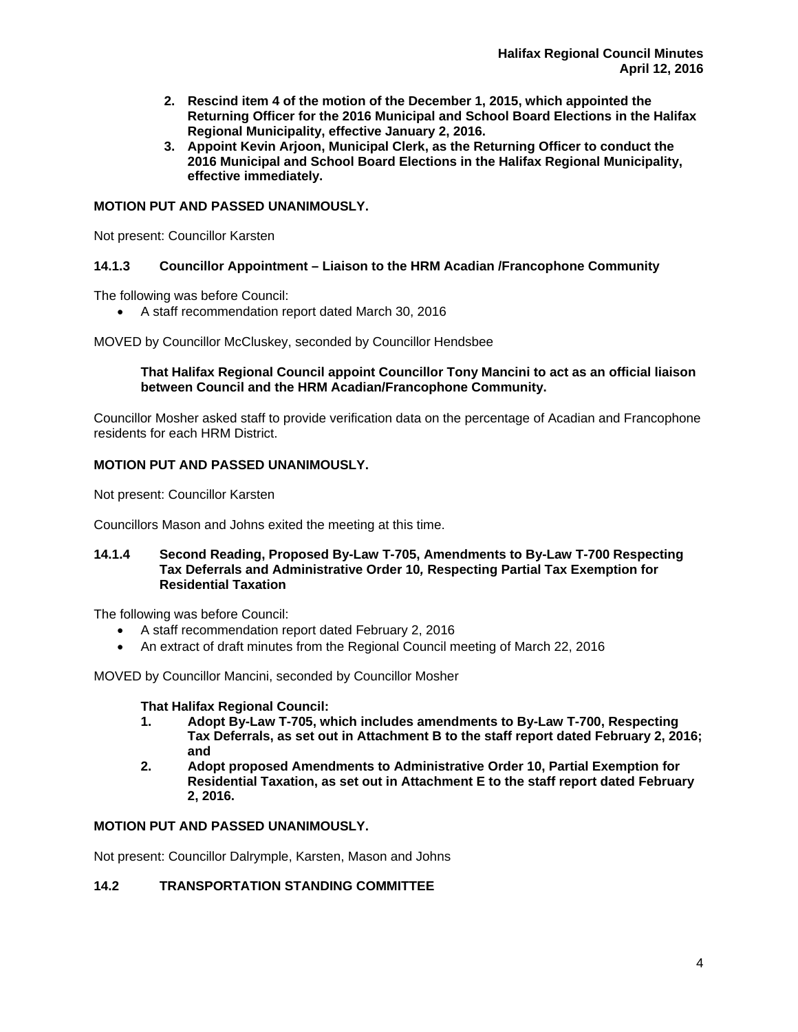- **2. Rescind item 4 of the motion of the December 1, 2015, which appointed the Returning Officer for the 2016 Municipal and School Board Elections in the Halifax Regional Municipality, effective January 2, 2016.**
- **3. Appoint Kevin Arjoon, Municipal Clerk, as the Returning Officer to conduct the 2016 Municipal and School Board Elections in the Halifax Regional Municipality, effective immediately.**

# **MOTION PUT AND PASSED UNANIMOUSLY.**

Not present: Councillor Karsten

# **14.1.3 Councillor Appointment – Liaison to the HRM Acadian /Francophone Community**

The following was before Council:

A staff recommendation report dated March 30, 2016

MOVED by Councillor McCluskey, seconded by Councillor Hendsbee

## **That Halifax Regional Council appoint Councillor Tony Mancini to act as an official liaison between Council and the HRM Acadian/Francophone Community.**

Councillor Mosher asked staff to provide verification data on the percentage of Acadian and Francophone residents for each HRM District.

## **MOTION PUT AND PASSED UNANIMOUSLY.**

Not present: Councillor Karsten

Councillors Mason and Johns exited the meeting at this time.

#### **14.1.4 Second Reading, Proposed By-Law T-705, Amendments to By-Law T-700 Respecting Tax Deferrals and Administrative Order 10***,* **Respecting Partial Tax Exemption for Residential Taxation**

The following was before Council:

- A staff recommendation report dated February 2, 2016
- An extract of draft minutes from the Regional Council meeting of March 22, 2016

MOVED by Councillor Mancini, seconded by Councillor Mosher

#### **That Halifax Regional Council:**

- **1. Adopt By-Law T-705, which includes amendments to By-Law T-700, Respecting Tax Deferrals, as set out in Attachment B to the staff report dated February 2, 2016; and**
- **2. Adopt proposed Amendments to Administrative Order 10, Partial Exemption for Residential Taxation, as set out in Attachment E to the staff report dated February 2, 2016.**

## **MOTION PUT AND PASSED UNANIMOUSLY.**

Not present: Councillor Dalrymple, Karsten, Mason and Johns

#### **14.2 TRANSPORTATION STANDING COMMITTEE**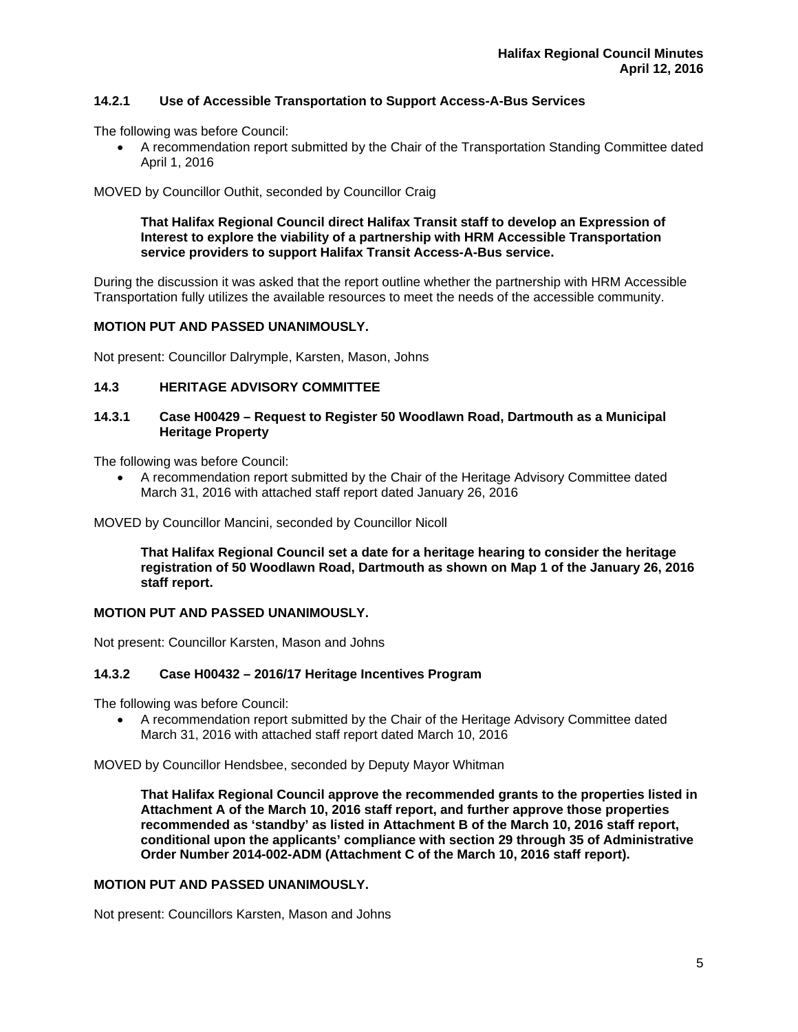# **14.2.1 Use of Accessible Transportation to Support Access-A-Bus Services**

The following was before Council:

 A recommendation report submitted by the Chair of the Transportation Standing Committee dated April 1, 2016

## MOVED by Councillor Outhit, seconded by Councillor Craig

#### **That Halifax Regional Council direct Halifax Transit staff to develop an Expression of Interest to explore the viability of a partnership with HRM Accessible Transportation service providers to support Halifax Transit Access-A-Bus service.**

During the discussion it was asked that the report outline whether the partnership with HRM Accessible Transportation fully utilizes the available resources to meet the needs of the accessible community.

## **MOTION PUT AND PASSED UNANIMOUSLY.**

Not present: Councillor Dalrymple, Karsten, Mason, Johns

## **14.3 HERITAGE ADVISORY COMMITTEE**

## **14.3.1 Case H00429 – Request to Register 50 Woodlawn Road, Dartmouth as a Municipal Heritage Property**

The following was before Council:

 A recommendation report submitted by the Chair of the Heritage Advisory Committee dated March 31, 2016 with attached staff report dated January 26, 2016

MOVED by Councillor Mancini, seconded by Councillor Nicoll

**That Halifax Regional Council set a date for a heritage hearing to consider the heritage registration of 50 Woodlawn Road, Dartmouth as shown on Map 1 of the January 26, 2016 staff report.** 

#### **MOTION PUT AND PASSED UNANIMOUSLY.**

Not present: Councillor Karsten, Mason and Johns

#### **14.3.2 Case H00432 – 2016/17 Heritage Incentives Program**

The following was before Council:

 A recommendation report submitted by the Chair of the Heritage Advisory Committee dated March 31, 2016 with attached staff report dated March 10, 2016

MOVED by Councillor Hendsbee, seconded by Deputy Mayor Whitman

**That Halifax Regional Council approve the recommended grants to the properties listed in Attachment A of the March 10, 2016 staff report, and further approve those properties recommended as 'standby' as listed in Attachment B of the March 10, 2016 staff report, conditional upon the applicants' compliance with section 29 through 35 of Administrative Order Number 2014-002-ADM (Attachment C of the March 10, 2016 staff report).** 

#### **MOTION PUT AND PASSED UNANIMOUSLY.**

Not present: Councillors Karsten, Mason and Johns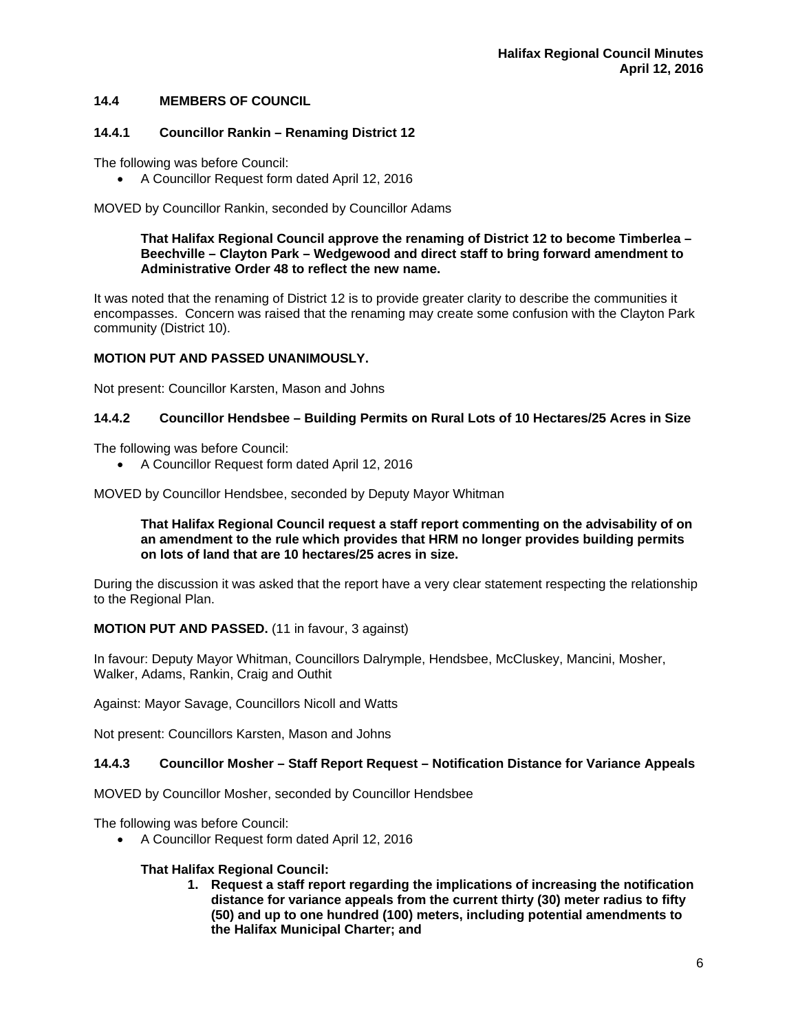# **14.4 MEMBERS OF COUNCIL**

## **14.4.1 Councillor Rankin – Renaming District 12**

The following was before Council:

A Councillor Request form dated April 12, 2016

MOVED by Councillor Rankin, seconded by Councillor Adams

**That Halifax Regional Council approve the renaming of District 12 to become Timberlea – Beechville – Clayton Park – Wedgewood and direct staff to bring forward amendment to Administrative Order 48 to reflect the new name.** 

It was noted that the renaming of District 12 is to provide greater clarity to describe the communities it encompasses. Concern was raised that the renaming may create some confusion with the Clayton Park community (District 10).

#### **MOTION PUT AND PASSED UNANIMOUSLY.**

Not present: Councillor Karsten, Mason and Johns

# **14.4.2 Councillor Hendsbee – Building Permits on Rural Lots of 10 Hectares/25 Acres in Size**

The following was before Council:

A Councillor Request form dated April 12, 2016

MOVED by Councillor Hendsbee, seconded by Deputy Mayor Whitman

**That Halifax Regional Council request a staff report commenting on the advisability of on an amendment to the rule which provides that HRM no longer provides building permits on lots of land that are 10 hectares/25 acres in size.** 

During the discussion it was asked that the report have a very clear statement respecting the relationship to the Regional Plan.

#### **MOTION PUT AND PASSED.** (11 in favour, 3 against)

In favour: Deputy Mayor Whitman, Councillors Dalrymple, Hendsbee, McCluskey, Mancini, Mosher, Walker, Adams, Rankin, Craig and Outhit

Against: Mayor Savage, Councillors Nicoll and Watts

Not present: Councillors Karsten, Mason and Johns

#### **14.4.3 Councillor Mosher – Staff Report Request – Notification Distance for Variance Appeals**

MOVED by Councillor Mosher, seconded by Councillor Hendsbee

The following was before Council:

A Councillor Request form dated April 12, 2016

#### **That Halifax Regional Council:**

**1. Request a staff report regarding the implications of increasing the notification distance for variance appeals from the current thirty (30) meter radius to fifty (50) and up to one hundred (100) meters, including potential amendments to the Halifax Municipal Charter; and**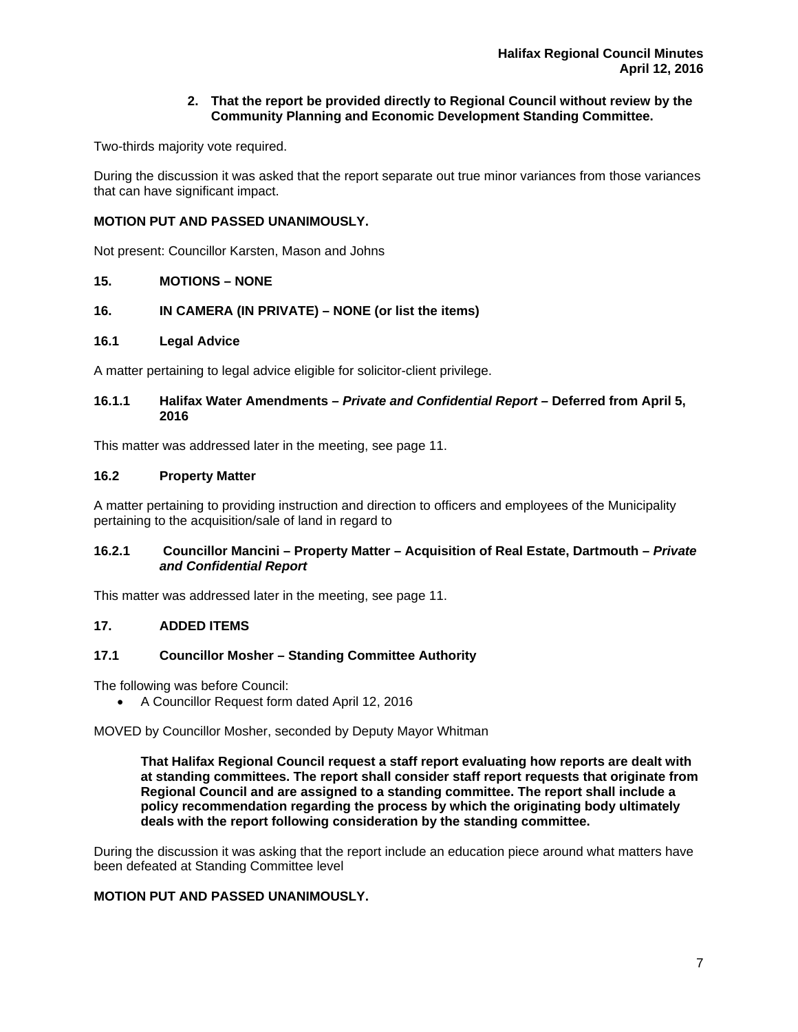## **2. That the report be provided directly to Regional Council without review by the Community Planning and Economic Development Standing Committee.**

Two-thirds majority vote required.

During the discussion it was asked that the report separate out true minor variances from those variances that can have significant impact.

#### **MOTION PUT AND PASSED UNANIMOUSLY.**

Not present: Councillor Karsten, Mason and Johns

#### **15. MOTIONS – NONE**

#### **16. IN CAMERA (IN PRIVATE) – NONE (or list the items)**

#### **16.1 Legal Advice**

A matter pertaining to legal advice eligible for solicitor-client privilege.

#### **16.1.1 Halifax Water Amendments** *– Private and Confidential Report –* **Deferred from April 5, 2016**

This matter was addressed later in the meeting, see page 11.

#### **16.2 Property Matter**

A matter pertaining to providing instruction and direction to officers and employees of the Municipality pertaining to the acquisition/sale of land in regard to

#### **16.2.1 Councillor Mancini – Property Matter – Acquisition of Real Estate, Dartmouth** *– Private and Confidential Report*

This matter was addressed later in the meeting, see page 11.

## **17. ADDED ITEMS**

#### **17.1 Councillor Mosher – Standing Committee Authority**

The following was before Council:

A Councillor Request form dated April 12, 2016

MOVED by Councillor Mosher, seconded by Deputy Mayor Whitman

**That Halifax Regional Council request a staff report evaluating how reports are dealt with at standing committees. The report shall consider staff report requests that originate from Regional Council and are assigned to a standing committee. The report shall include a policy recommendation regarding the process by which the originating body ultimately deals with the report following consideration by the standing committee.** 

During the discussion it was asking that the report include an education piece around what matters have been defeated at Standing Committee level

# **MOTION PUT AND PASSED UNANIMOUSLY.**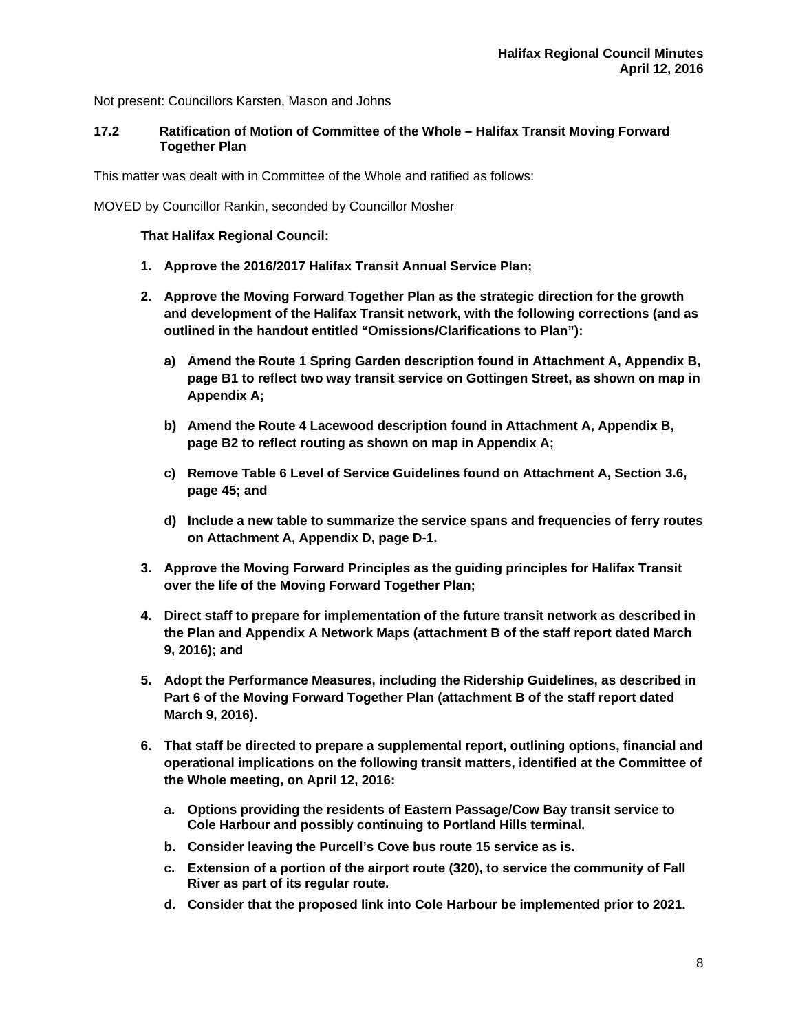Not present: Councillors Karsten, Mason and Johns

#### **17.2 Ratification of Motion of Committee of the Whole – Halifax Transit Moving Forward Together Plan**

This matter was dealt with in Committee of the Whole and ratified as follows:

MOVED by Councillor Rankin, seconded by Councillor Mosher

## **That Halifax Regional Council:**

- **1. Approve the 2016/2017 Halifax Transit Annual Service Plan;**
- **2. Approve the Moving Forward Together Plan as the strategic direction for the growth and development of the Halifax Transit network, with the following corrections (and as outlined in the handout entitled "Omissions/Clarifications to Plan"):** 
	- **a) Amend the Route 1 Spring Garden description found in Attachment A, Appendix B, page B1 to reflect two way transit service on Gottingen Street, as shown on map in Appendix A;**
	- **b) Amend the Route 4 Lacewood description found in Attachment A, Appendix B, page B2 to reflect routing as shown on map in Appendix A;**
	- **c) Remove Table 6 Level of Service Guidelines found on Attachment A, Section 3.6, page 45; and**
	- **d) Include a new table to summarize the service spans and frequencies of ferry routes on Attachment A, Appendix D, page D-1.**
- **3. Approve the Moving Forward Principles as the guiding principles for Halifax Transit over the life of the Moving Forward Together Plan;**
- **4. Direct staff to prepare for implementation of the future transit network as described in the Plan and Appendix A Network Maps (attachment B of the staff report dated March 9, 2016); and**
- **5. Adopt the Performance Measures, including the Ridership Guidelines, as described in Part 6 of the Moving Forward Together Plan (attachment B of the staff report dated March 9, 2016).**
- **6. That staff be directed to prepare a supplemental report, outlining options, financial and operational implications on the following transit matters, identified at the Committee of the Whole meeting, on April 12, 2016:** 
	- **a. Options providing the residents of Eastern Passage/Cow Bay transit service to Cole Harbour and possibly continuing to Portland Hills terminal.**
	- **b. Consider leaving the Purcell's Cove bus route 15 service as is.**
	- **c. Extension of a portion of the airport route (320), to service the community of Fall River as part of its regular route.**
	- **d. Consider that the proposed link into Cole Harbour be implemented prior to 2021.**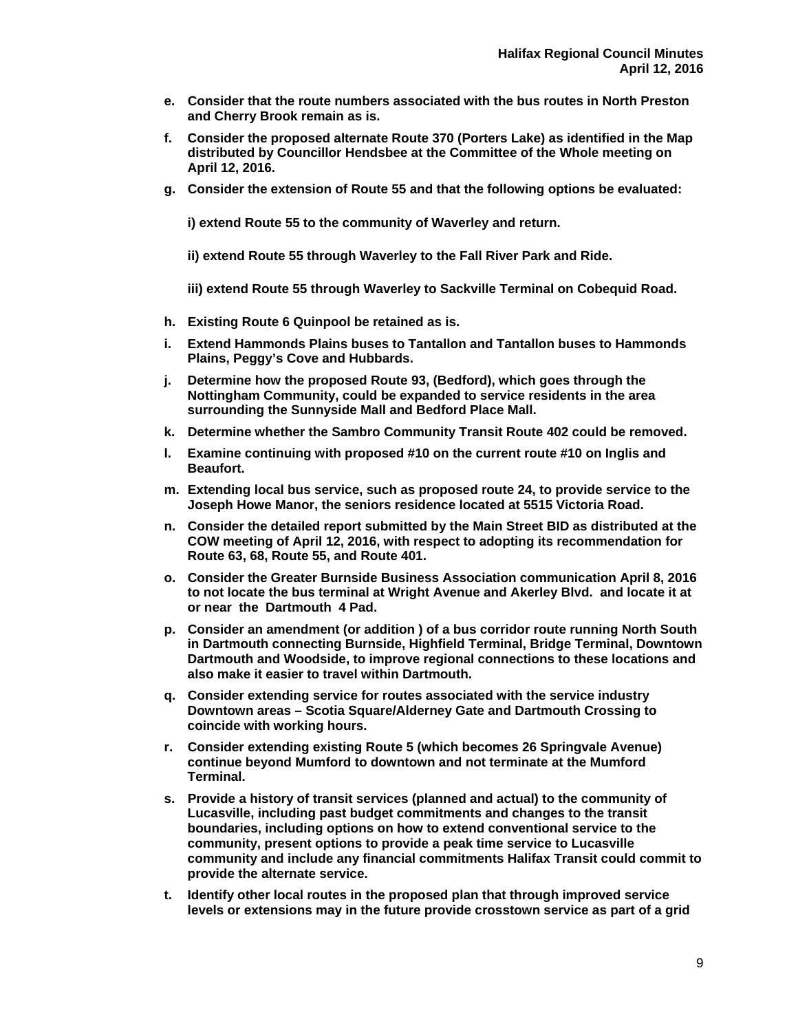- **e. Consider that the route numbers associated with the bus routes in North Preston and Cherry Brook remain as is.**
- **f. Consider the proposed alternate Route 370 (Porters Lake) as identified in the Map distributed by Councillor Hendsbee at the Committee of the Whole meeting on April 12, 2016.**
- **g. Consider the extension of Route 55 and that the following options be evaluated:**

**i) extend Route 55 to the community of Waverley and return.** 

**ii) extend Route 55 through Waverley to the Fall River Park and Ride.** 

**iii) extend Route 55 through Waverley to Sackville Terminal on Cobequid Road.** 

- **h. Existing Route 6 Quinpool be retained as is.**
- **i. Extend Hammonds Plains buses to Tantallon and Tantallon buses to Hammonds Plains, Peggy's Cove and Hubbards.**
- **j. Determine how the proposed Route 93, (Bedford), which goes through the Nottingham Community, could be expanded to service residents in the area surrounding the Sunnyside Mall and Bedford Place Mall.**
- **k. Determine whether the Sambro Community Transit Route 402 could be removed.**
- **l. Examine continuing with proposed #10 on the current route #10 on Inglis and Beaufort.**
- **m. Extending local bus service, such as proposed route 24, to provide service to the Joseph Howe Manor, the seniors residence located at 5515 Victoria Road.**
- **n. Consider the detailed report submitted by the Main Street BID as distributed at the COW meeting of April 12, 2016, with respect to adopting its recommendation for Route 63, 68, Route 55, and Route 401.**
- **o. Consider the Greater Burnside Business Association communication April 8, 2016 to not locate the bus terminal at Wright Avenue and Akerley Blvd. and locate it at or near the Dartmouth 4 Pad.**
- **p. Consider an amendment (or addition ) of a bus corridor route running North South in Dartmouth connecting Burnside, Highfield Terminal, Bridge Terminal, Downtown Dartmouth and Woodside, to improve regional connections to these locations and also make it easier to travel within Dartmouth.**
- **q. Consider extending service for routes associated with the service industry Downtown areas – Scotia Square/Alderney Gate and Dartmouth Crossing to coincide with working hours.**
- **r. Consider extending existing Route 5 (which becomes 26 Springvale Avenue) continue beyond Mumford to downtown and not terminate at the Mumford Terminal.**
- **s. Provide a history of transit services (planned and actual) to the community of Lucasville, including past budget commitments and changes to the transit boundaries, including options on how to extend conventional service to the community, present options to provide a peak time service to Lucasville community and include any financial commitments Halifax Transit could commit to provide the alternate service.**
- **t. Identify other local routes in the proposed plan that through improved service levels or extensions may in the future provide crosstown service as part of a grid**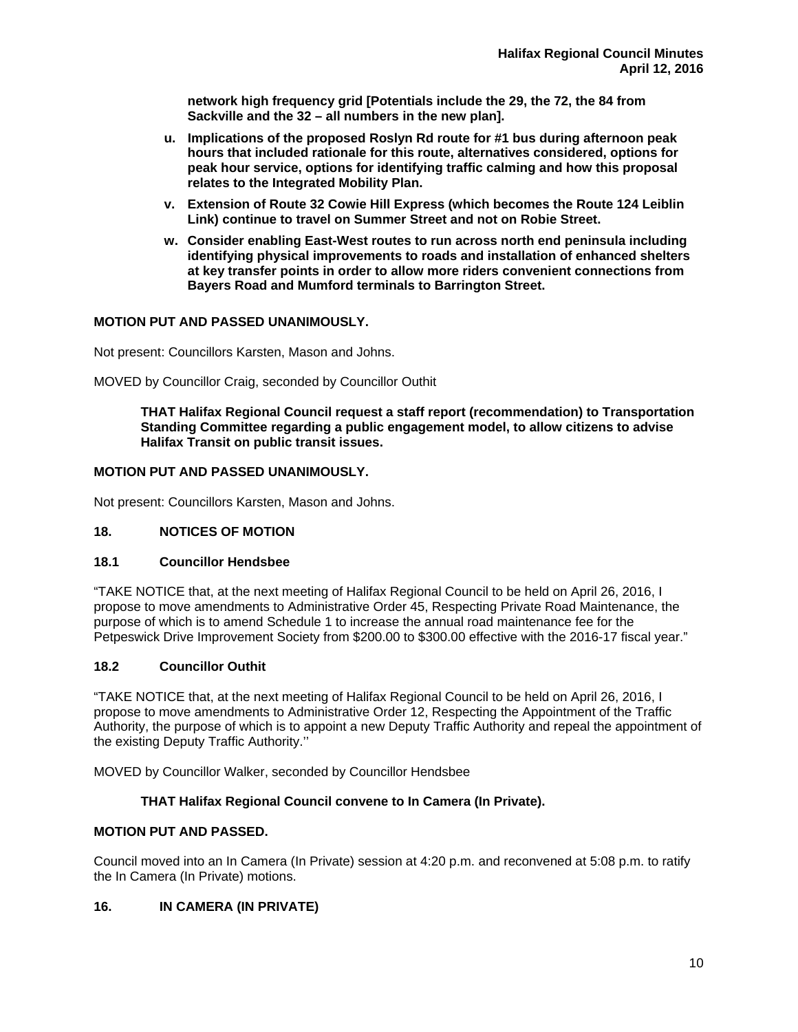**network high frequency grid [Potentials include the 29, the 72, the 84 from Sackville and the 32 – all numbers in the new plan].** 

- **u. Implications of the proposed Roslyn Rd route for #1 bus during afternoon peak hours that included rationale for this route, alternatives considered, options for peak hour service, options for identifying traffic calming and how this proposal relates to the Integrated Mobility Plan.**
- **v. Extension of Route 32 Cowie Hill Express (which becomes the Route 124 Leiblin Link) continue to travel on Summer Street and not on Robie Street.**
- **w. Consider enabling East-West routes to run across north end peninsula including identifying physical improvements to roads and installation of enhanced shelters at key transfer points in order to allow more riders convenient connections from Bayers Road and Mumford terminals to Barrington Street.**

# **MOTION PUT AND PASSED UNANIMOUSLY.**

Not present: Councillors Karsten, Mason and Johns.

MOVED by Councillor Craig, seconded by Councillor Outhit

**THAT Halifax Regional Council request a staff report (recommendation) to Transportation Standing Committee regarding a public engagement model, to allow citizens to advise Halifax Transit on public transit issues.** 

## **MOTION PUT AND PASSED UNANIMOUSLY.**

Not present: Councillors Karsten, Mason and Johns.

## **18. NOTICES OF MOTION**

#### **18.1 Councillor Hendsbee**

"TAKE NOTICE that, at the next meeting of Halifax Regional Council to be held on April 26, 2016, I propose to move amendments to Administrative Order 45, Respecting Private Road Maintenance, the purpose of which is to amend Schedule 1 to increase the annual road maintenance fee for the Petpeswick Drive Improvement Society from \$200.00 to \$300.00 effective with the 2016-17 fiscal year."

## **18.2 Councillor Outhit**

"TAKE NOTICE that, at the next meeting of Halifax Regional Council to be held on April 26, 2016, I propose to move amendments to Administrative Order 12, Respecting the Appointment of the Traffic Authority, the purpose of which is to appoint a new Deputy Traffic Authority and repeal the appointment of the existing Deputy Traffic Authority.''

MOVED by Councillor Walker, seconded by Councillor Hendsbee

#### **THAT Halifax Regional Council convene to In Camera (In Private).**

# **MOTION PUT AND PASSED.**

Council moved into an In Camera (In Private) session at 4:20 p.m. and reconvened at 5:08 p.m. to ratify the In Camera (In Private) motions.

#### **16. IN CAMERA (IN PRIVATE)**